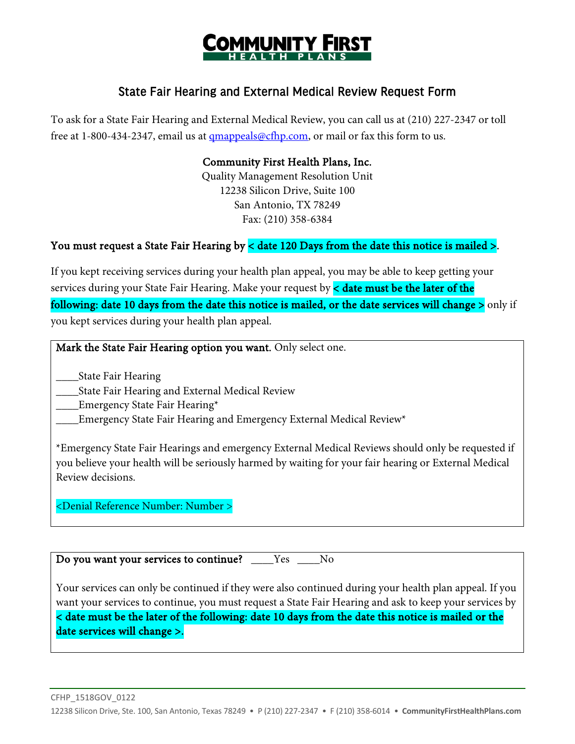

## State Fair Hearing and External Medical Review Request Form

To ask for a State Fair Hearing and External Medical Review, you can call us at (210) 227-2347 or toll free at 1-800-434-2347, email us at [qmappeals@cfhp.com,](mailto:qmappeals@cfhp.com) or mail or fax this form to us.

#### Community First Health Plans, Inc.

Quality Management Resolution Unit 12238 Silicon Drive, Suite 100 San Antonio, TX 78249 Fax: (210) 358-6384

### You must request a State Fair Hearing by < date 120 Days from the date this notice is mailed >.

If you kept receiving services during your health plan appeal, you may be able to keep getting your services during your State Fair Hearing. Make your request by  $\lt$  date must be the later of the following: date 10 days from the date this notice is mailed, or the date services will change  $>$  only if you kept services during your health plan appeal.

Mark the State Fair Hearing option you want. Only select one.

\_\_\_\_State Fair Hearing

\_\_\_\_State Fair Hearing and External Medical Review

\_\_\_\_Emergency State Fair Hearing\*

Emergency State Fair Hearing and Emergency External Medical Review\*

\*Emergency State Fair Hearings and emergency External Medical Reviews should only be requested if you believe your health will be seriously harmed by waiting for your fair hearing or External Medical Review decisions.

<Denial Reference Number: Number >

Do you want your services to continue? \_\_\_\_Yes \_\_\_No

Your services can only be continued if they were also continued during your health plan appeal. If you want your services to continue, you must request a State Fair Hearing and ask to keep your services by < date must be the later of the following: date 10 days from the date this notice is mailed or the date services will change >.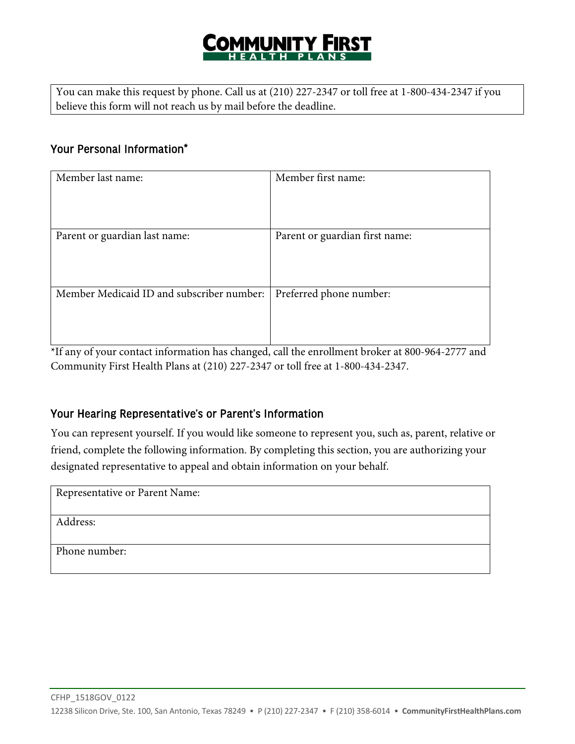# COMMUNITY FIRST

You can make this request by phone. Call us at (210) 227-2347 or toll free at 1-800-434-2347 if you believe this form will not reach us by mail before the deadline.

## Your Personal Information\*

| Member last name:                         | Member first name:             |
|-------------------------------------------|--------------------------------|
| Parent or guardian last name:             | Parent or guardian first name: |
| Member Medicaid ID and subscriber number: | Preferred phone number:        |

\*If any of your contact information has changed, call the enrollment broker at 800-964-2777 and Community First Health Plans at (210) 227-2347 or toll free at 1-800-434-2347.

## Your Hearing Representative's or Parent's Information

You can represent yourself. If you would like someone to represent you, such as, parent, relative or friend, complete the following information. By completing this section, you are authorizing your designated representative to appeal and obtain information on your behalf.

Representative or Parent Name:

Address:

Phone number: